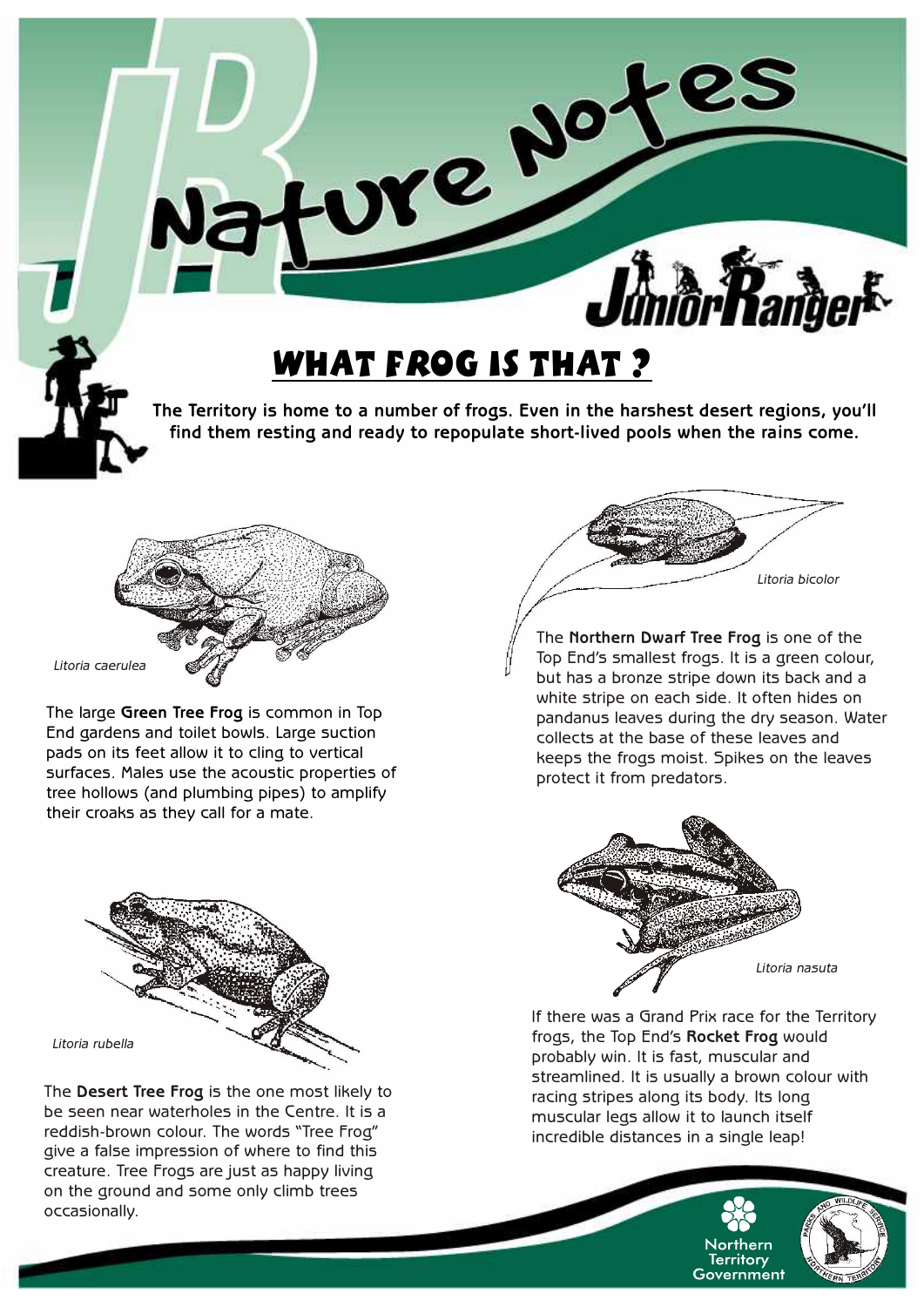

**The Territory is home to a number of frogs. Even in the harshest desert regions, you'll find them resting and ready to repopulate short-lived pools when the rains come.**



The large **Green Tree Frog** is common in Top End gardens and toilet bowls. Large suction pads on its feet allow it to cling to vertical surfaces. Males use the acoustic properties of tree hollows (and plumbing pipes) to amplify their croaks as they call for a mate.



The **Desert Tree Frog** is the one most likely to be seen near waterholes in the Centre. It is a reddish-brown colour. The words "Tree Frog" give a false impression of where to find this creature. Tree Frogs are just as happy living on the ground and some only climb trees occasionally.



The **Northern Dwarf Tree Frog** is one of the Top End's smallest frogs. It is a green colour, but has a bronze stripe down its back and a white stripe on each side. It often hides on pandanus leaves during the dry season. Water collects at the base of these leaves and keeps the frogs moist. Spikes on the leaves protect it from predators.



If there was a Grand Prix race for the Territory frogs, the Top End's **Rocket Frog** would probably win. It is fast, muscular and streamlined. It is usually a brown colour with racing stripes along its body. Its long muscular legs allow it to launch itself incredible distances in a single leap!